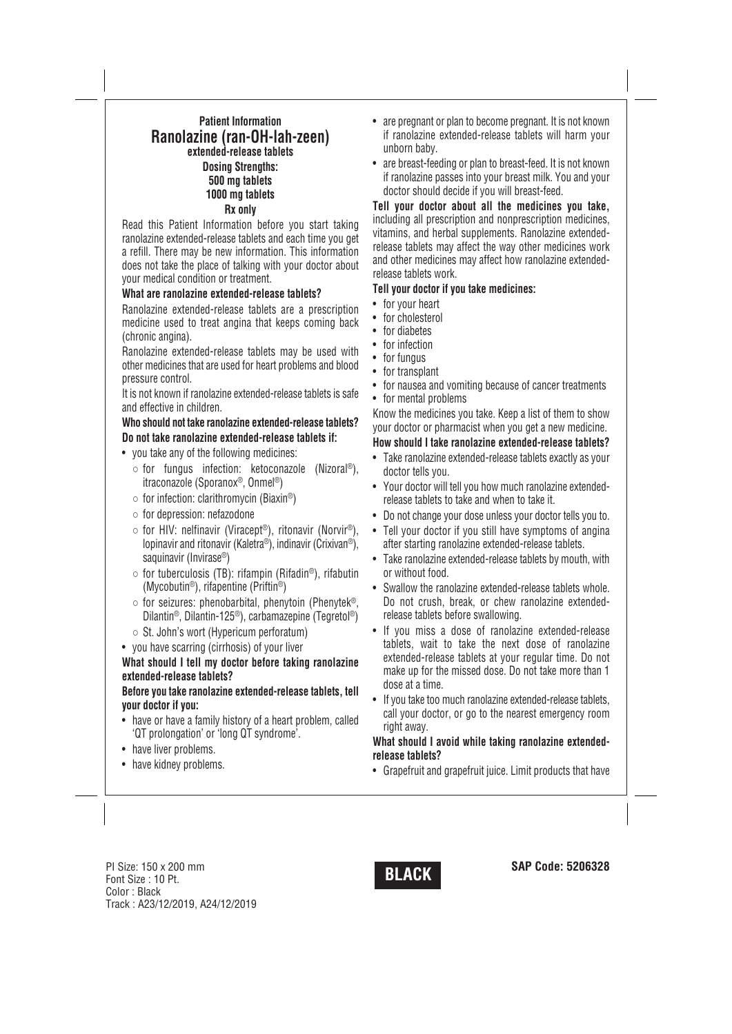## **Patient Information Ranolazine (ran-OH-lah-zeen) extended-release tablets Dosing Strengths: 500 mg tablets 1000 mg tablets Rx only**

Read this Patient Information before you start taking ranolazine extended-release tablets and each time you get a refill. There may be new information. This information does not take the place of talking with your doctor about your medical condition or treatment.

### **What are ranolazine extended-release tablets?**

Ranolazine extended-release tablets are a prescription medicine used to treat angina that keeps coming back (chronic angina).

Ranolazine extended-release tablets may be used with other medicines that are used for heart problems and blood pressure control.

It is not known if ranolazine extended-release tablets is safe and effective in children.

# **Who should not take ranolazine extended-release tablets? Do not take ranolazine extended-release tablets if:**

- you take any of the following medicines:
- for fungus infection: ketoconazole (Nizoral ®), itraconazole (Sporanox®, Onmel ®)
- $\circ$  for infection: clarithromycin (Biaxin®)
- for depression: nefazodone
- for HIV: nelfinavir (Viracept ®), ritonavir (Norvir®), lopinavir and ritonavir (Kaletra®), indinavir (Crixivan®), saquinavir (Invirase®)
- $\circ$  for tuberculosis (TB): rifampin (Rifadin®), rifabutin (Mycobutin®), rifapentine (Priftin®)
- $\circ$  for seizures: phenobarbital, phenytoin (Phenytek®, Dilantin®, Dilantin-125®), carbamazepine (Tegretol ®)
- St. John's wort (Hypericum perforatum)
- you have scarring (cirrhosis) of your liver

**What should I tell my doctor before taking ranolazine extended-release tablets?**

**Before you take ranolazine extended-release tablets, tell your doctor if you:**

- have or have a family history of a heart problem, called 'QT prolongation' or 'long QT syndrome'.
- have liver problems.
- have kidney problems.
- are pregnant or plan to become pregnant. It is not known if ranolazine extended-release tablets will harm your unborn baby.
- are breast-feeding or plan to breast-feed. It is not known if ranolazine passes into your breast milk. You and your doctor should decide if you will breast-feed.

**Tell your doctor about all the medicines you take,** including all prescription and nonprescription medicines, vitamins, and herbal supplements. Ranolazine extendedrelease tablets may affect the way other medicines work and other medicines may affect how ranolazine extendedrelease tablets work.

## **Tell your doctor if you take medicines:**

- for your heart
- for cholesterol
- for diabetes
- for infection
- for fungus
- for transplant
- for nausea and vomiting because of cancer treatments
- for mental problems

Know the medicines you take. Keep a list of them to show your doctor or pharmacist when you get a new medicine.

## **How should I take ranolazine extended-release tablets?**

- Take ranolazine extended-release tablets exactly as your doctor tells you.
- Your doctor will tell you how much ranolazine extendedrelease tablets to take and when to take it.
- Do not change your dose unless your doctor tells you to.
- Tell your doctor if you still have symptoms of angina after starting ranolazine extended-release tablets.
- Take ranolazine extended-release tablets by mouth, with or without food.
- Swallow the ranolazine extended-release tablets whole. Do not crush, break, or chew ranolazine extendedrelease tablets before swallowing.
- If you miss a dose of ranolazine extended-release tablets, wait to take the next dose of ranolazine extended-release tablets at your regular time. Do not make up for the missed dose. Do not take more than 1 dose at a time.
- If you take too much ranolazine extended-release tablets, call your doctor, or go to the nearest emergency room right away.

### **What should I avoid while taking ranolazine extendedrelease tablets?**

• Grapefruit and grapefruit juice. Limit products that have

**SAP Code: <sup>5206328</sup> BLACK** PI Size: <sup>150</sup> <sup>x</sup> <sup>200</sup> mm Font Size : 10 Pt. Color : Black Track : A23/12/2019, A24/12/2019